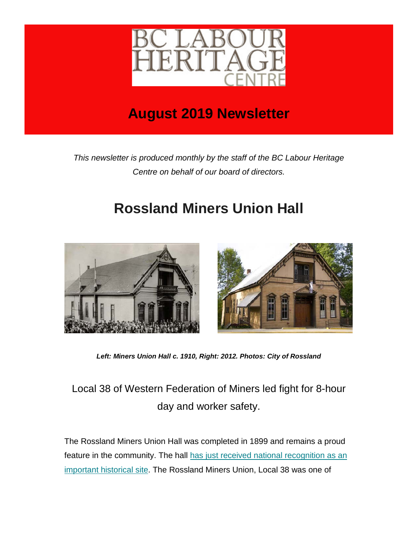

# **August 2019 Newsletter**

*This newsletter is produced monthly by the staff of the BC Labour Heritage Centre on behalf of our board of directors.*

# **Rossland Miners Union Hall**



*Left: Miners Union Hall c. 1910, Right: 2012. Photos: City of Rossland*

## Local 38 of Western Federation of Miners led fight for 8-hour day and worker safety.

The Rossland Miners Union Hall was completed in 1899 and remains a proud feature in the community. The hall [has just received national recognition as an](https://labourheritagecentre.us11.list-manage.com/track/click?u=b23ed6ed54b024abb4a310921&id=76b41cd651&e=5ec666d8ef)  [important historical site.](https://labourheritagecentre.us11.list-manage.com/track/click?u=b23ed6ed54b024abb4a310921&id=76b41cd651&e=5ec666d8ef) The Rossland Miners Union, Local 38 was one of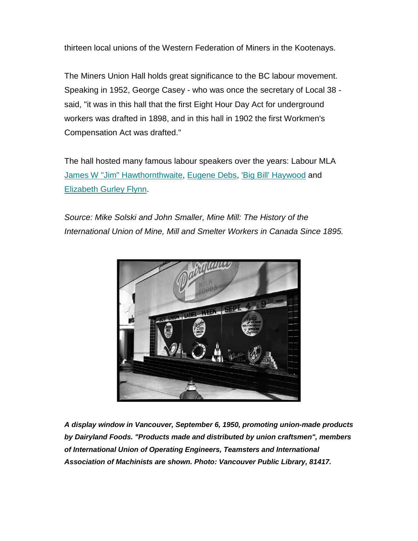thirteen local unions of the Western Federation of Miners in the Kootenays.

The Miners Union Hall holds great significance to the BC labour movement. Speaking in 1952, George Casey - who was once the secretary of Local 38 said, "it was in this hall that the first Eight Hour Day Act for underground workers was drafted in 1898, and in this hall in 1902 the first Workmen's Compensation Act was drafted."

The hall hosted many famous labour speakers over the years: Labour MLA [James W "Jim" Hawthornthwaite,](https://labourheritagecentre.us11.list-manage.com/track/click?u=b23ed6ed54b024abb4a310921&id=398dffb52f&e=5ec666d8ef) [Eugene Debs,](https://labourheritagecentre.us11.list-manage.com/track/click?u=b23ed6ed54b024abb4a310921&id=225edd94a4&e=5ec666d8ef) ['Big Bill' Haywood](https://labourheritagecentre.us11.list-manage.com/track/click?u=b23ed6ed54b024abb4a310921&id=8fa1cf392e&e=5ec666d8ef) and [Elizabeth Gurley Flynn.](https://labourheritagecentre.us11.list-manage.com/track/click?u=b23ed6ed54b024abb4a310921&id=63bd10ea1c&e=5ec666d8ef)

*Source: Mike Solski and John Smaller, Mine Mill: The History of the International Union of Mine, Mill and Smelter Workers in Canada Since 1895.*



*A display window in Vancouver, September 6, 1950, promoting union-made products by Dairyland Foods. "Products made and distributed by union craftsmen", members of International Union of Operating Engineers, Teamsters and International Association of Machinists are shown. Photo: Vancouver Public Library, 81417.*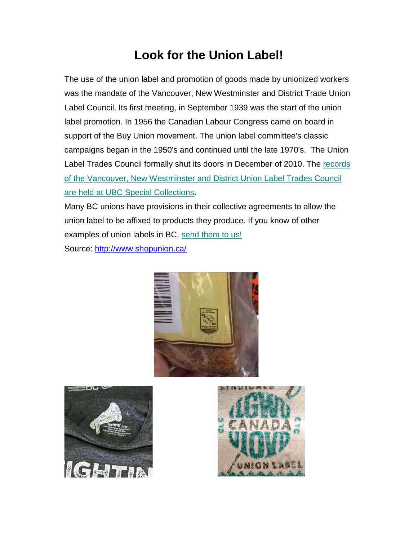## **Look for the Union Label!**

The use of the union label and promotion of goods made by unionized workers was the mandate of the Vancouver, New Westminster and District Trade Union Label Council. Its first meeting, in September 1939 was the start of the union label promotion. In 1956 the Canadian Labour Congress came on board in support of the Buy Union movement. The union label committee's classic campaigns began in the 1950's and continued until the late 1970's. The Union Label Trades Council formally shut its doors in December of 2010. The records [of the Vancouver, New Westminster and District Union Label Trades Council](https://labourheritagecentre.us11.list-manage.com/track/click?u=b23ed6ed54b024abb4a310921&id=5778a4e9f1&e=5ec666d8ef)  [are held at UBC Special Collections.](https://labourheritagecentre.us11.list-manage.com/track/click?u=b23ed6ed54b024abb4a310921&id=5778a4e9f1&e=5ec666d8ef)

Many BC unions have provisions in their collective agreements to allow the union label to be affixed to products they produce. If you know of other examples of union labels in BC, [send them to us!](mailto:info@labourheritagecentre.ca) Source:<http://www.shopunion.ca/>





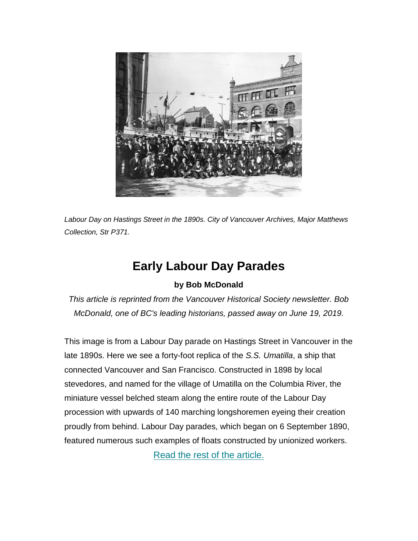

*Labour Day on Hastings Street in the 1890s. City of Vancouver Archives, Major Matthews Collection, Str P371.*

#### **Early Labour Day Parades**

#### **by Bob McDonald**

*This article is reprinted from the Vancouver Historical Society newsletter. Bob McDonald, one of BC's leading historians, passed away on June 19, 2019.*

This image is from a Labour Day parade on Hastings Street in Vancouver in the late 1890s. Here we see a forty-foot replica of the *S.S. Umatilla*, a ship that connected Vancouver and San Francisco. Constructed in 1898 by local stevedores, and named for the village of Umatilla on the Columbia River, the miniature vessel belched steam along the entire route of the Labour Day procession with upwards of 140 marching longshoremen eyeing their creation proudly from behind. Labour Day parades, which began on 6 September 1890, featured numerous such examples of floats constructed by unionized workers.

[Read the rest of the article.](https://labourheritagecentre.us11.list-manage.com/track/click?u=b23ed6ed54b024abb4a310921&id=b3fc9b96ac&e=5ec666d8ef)